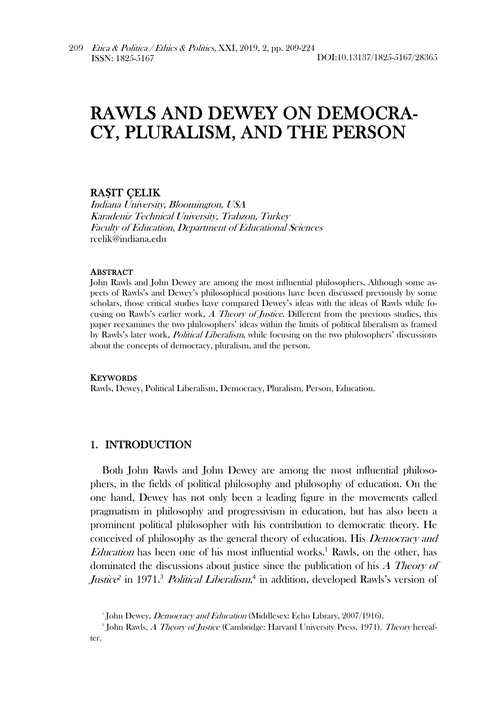# RAWLS AND DEWEY ON DEMOCRA-CY, PLURALISM, AND THE PERSON

# RA**Ṣ**IT ÇELIK

Indiana University, Bloomington, USA Karadeniz Technical University, Trabzon, Turkey Faculty of Education, Department of Educational Sciences rcelik@indiana.edu

#### ABSTRACT

John Rawls and John Dewey are among the most influential philosophers. Although some aspects of Rawls's and Dewey's philosophical positions have been discussed previously by some scholars, those critical studies have compared Dewey's ideas with the ideas of Rawls while focusing on Rawls's earlier work, A Theory of Justice. Different from the previous studies, this paper reexamines the two philosophers' ideas within the limits of political liberalism as framed by Rawls's later work, Political Liberalism, while focusing on the two philosophers' discussions about the concepts of democracy, pluralism, and the person.

#### **KEYWORDS**

Rawls, Dewey, Political Liberalism, Democracy, Pluralism, Person, Education.

## 1. INTRODUCTION

Both John Rawls and John Dewey are among the most influential philosophers, in the fields of political philosophy and philosophy of education. On the one hand, Dewey has not only been a leading figure in the movements called pragmatism in philosophy and progressivism in education, but has also been a prominent political philosopher with his contribution to democratic theory. He conceived of philosophy as the general theory of education. His Democracy and *Education* has been one of his most influential works.<sup>1</sup> Rawls, on the other, has dominated the discussions about justice since the publication of his A Theory of Justice<sup>2</sup> in 1971.<sup>3</sup> Political Liberalism,<sup>4</sup> in addition, developed Rawls's version of

<sup>&</sup>lt;sup>1</sup> John Dewey, *Democracy and Education* (Middlesex: Echo Library, 2007/1916).<br><sup>2</sup> John Bayla *A. Thoews of Instias (Combridges Harvard Haivenity Brass*, 1971).

<sup>&</sup>lt;sup>2</sup> John Rawls, *A Theory of Justice* (Cambridge: Harvard University Press, 1971). Theory hereafter.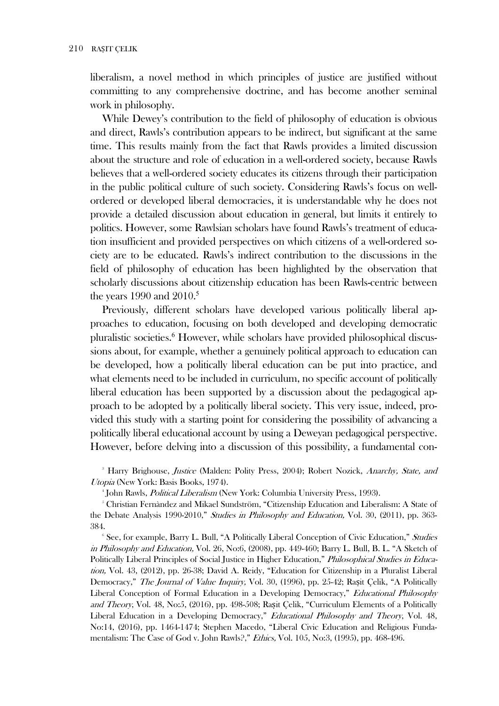liberalism, a novel method in which principles of justice are justified without committing to any comprehensive doctrine, and has become another seminal work in philosophy.

While Dewey's contribution to the field of philosophy of education is obvious and direct, Rawls's contribution appears to be indirect, but significant at the same time. This results mainly from the fact that Rawls provides a limited discussion about the structure and role of education in a well-ordered society, because Rawls believes that a well-ordered society educates its citizens through their participation in the public political culture of such society. Considering Rawls's focus on wellordered or developed liberal democracies, it is understandable why he does not provide a detailed discussion about education in general, but limits it entirely to politics. However, some Rawlsian scholars have found Rawls's treatment of education insufficient and provided perspectives on which citizens of a well-ordered society are to be educated. Rawls's indirect contribution to the discussions in the field of philosophy of education has been highlighted by the observation that scholarly discussions about citizenship education has been Rawls-centric between the years 1990 and  $2010<sup>5</sup>$ 

Previously, different scholars have developed various politically liberal approaches to education, focusing on both developed and developing democratic pluralistic societies.<sup>6</sup> However, while scholars have provided philosophical discussions about, for example, whether a genuinely political approach to education can be developed, how a politically liberal education can be put into practice, and what elements need to be included in curriculum, no specific account of politically liberal education has been supported by a discussion about the pedagogical approach to be adopted by a politically liberal society. This very issue, indeed, provided this study with a starting point for considering the possibility of advancing a politically liberal educational account by using a Deweyan pedagogical perspective. However, before delving into a discussion of this possibility, a fundamental con-

<sup>3</sup> Harry Brighouse, Justice (Malden: Polity Press, 2004); Robert Nozick, Anarchy, State, and Utopia (New York: Basis Books, 1974).

<sup>4</sup> John Rawls, *Political Liberalism* (New York: Columbia University Press, 1993).

<sup>5</sup> Christian Fernàndez and Mikael Sundström, "Citizenship Education and Liberalism: A State of the Debate Analysis 1990-2010," Studies in Philosophy and Education, Vol. 30, (2011), pp. 363-384.

<sup>6</sup> See, for example, Barry L. Bull, "A Politically Liberal Conception of Civic Education," Studies in Philosophy and Education, Vol. 26, No:6, (2008), pp. 449-460; Barry L. Bull, B. L. "A Sketch of Politically Liberal Principles of Social Justice in Higher Education," Philosophical Studies in Education, Vol. 43, (2012), pp. 26-38; David A. Reidy, "Education for Citizenship in a Pluralist Liberal Democracy," The Journal of Value Inquiry, Vol. 30, (1996), pp. 25-42; Rasit Çelik, "A Politically Liberal Conception of Formal Education in a Developing Democracy," Educational Philosophy and Theory, Vol. 48, No:5, (2016), pp. 498-508; Rasit Celik, "Curriculum Elements of a Politically Liberal Education in a Developing Democracy," Educational Philosophy and Theory, Vol. 48, No:14, (2016), pp. 1464-1474; Stephen Macedo, "Liberal Civic Education and Religious Fundamentalism: The Case of God v. John Rawls?," Ethics, Vol. 105, No:3, (1995), pp. 468-496.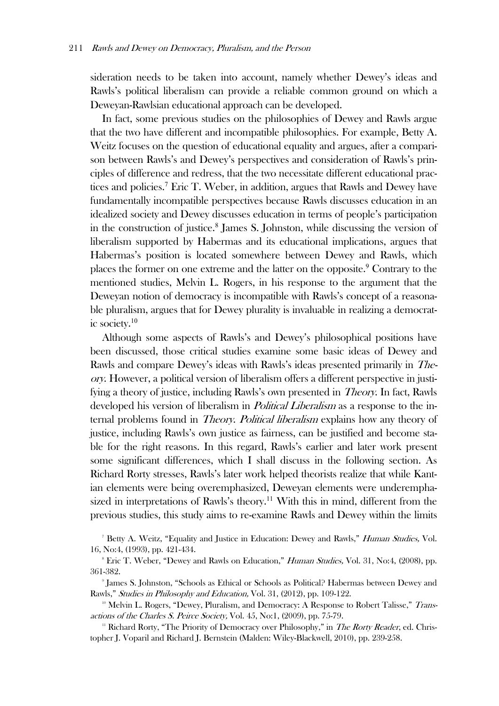sideration needs to be taken into account, namely whether Dewey's ideas and Rawls's political liberalism can provide a reliable common ground on which a Deweyan-Rawlsian educational approach can be developed.

In fact, some previous studies on the philosophies of Dewey and Rawls argue that the two have different and incompatible philosophies. For example, Betty A. Weitz focuses on the question of educational equality and argues, after a comparison between Rawls's and Dewey's perspectives and consideration of Rawls's principles of difference and redress, that the two necessitate different educational practices and policies.<sup>7</sup> Eric T. Weber, in addition, argues that Rawls and Dewey have fundamentally incompatible perspectives because Rawls discusses education in an idealized society and Dewey discusses education in terms of people's participation in the construction of justice.<sup>8</sup> James S. Johnston, while discussing the version of liberalism supported by Habermas and its educational implications, argues that Habermas's position is located somewhere between Dewey and Rawls, which places the former on one extreme and the latter on the opposite.<sup>9</sup> Contrary to the mentioned studies, Melvin L. Rogers, in his response to the argument that the Deweyan notion of democracy is incompatible with Rawls's concept of a reasonable pluralism, argues that for Dewey plurality is invaluable in realizing a democratic society.<sup>10</sup>

Although some aspects of Rawls's and Dewey's philosophical positions have been discussed, those critical studies examine some basic ideas of Dewey and Rawls and compare Dewey's ideas with Rawls's ideas presented primarily in Theory. However, a political version of liberalism offers a different perspective in justifying a theory of justice, including Rawls's own presented in Theory. In fact, Rawls developed his version of liberalism in *Political Liberalism* as a response to the internal problems found in *Theory. Political liberalism* explains how any theory of justice, including Rawls's own justice as fairness, can be justified and become stable for the right reasons. In this regard, Rawls's earlier and later work present some significant differences, which I shall discuss in the following section. As Richard Rorty stresses, Rawls's later work helped theorists realize that while Kantian elements were being overemphasized, Deweyan elements were underemphasized in interpretations of Rawls's theory.<sup>11</sup> With this in mind, different from the previous studies, this study aims to re-examine Rawls and Dewey within the limits

<sup>&</sup>lt;sup>7</sup> Betty A. Weitz, "Equality and Justice in Education: Dewey and Rawls," *Human Studies*, Vol. 16, No:4, (1993), pp. 421-434. 8

<sup>&</sup>lt;sup>8</sup> Eric T. Weber, "Dewey and Rawls on Education," *Human Studies*, Vol. 31, No:4, (2008), pp. 361-382. 9

<sup>&</sup>lt;sup>9</sup> James S. Johnston, "Schools as Ethical or Schools as Political? Habermas between Dewey and Rawls," Studies in Philosophy and Education, Vol. 31, (2012), pp. 109-122.<br><sup>10</sup> Melvin L. Rogers, "Dewey, Pluralism, and Democracy: A Response to Robert Talisse," Trans-

actions of the Charles S. Peirce Society, Vol. 45, No:1, (2009), pp. 75-79.<br><sup>11</sup> Richard Rorty, "The Priority of Democracy over Philosophy," in *The Rorty Reader*, ed. Chris-

topher J. Voparil and Richard J. Bernstein (Malden: Wiley-Blackwell, 2010), pp. 239-258.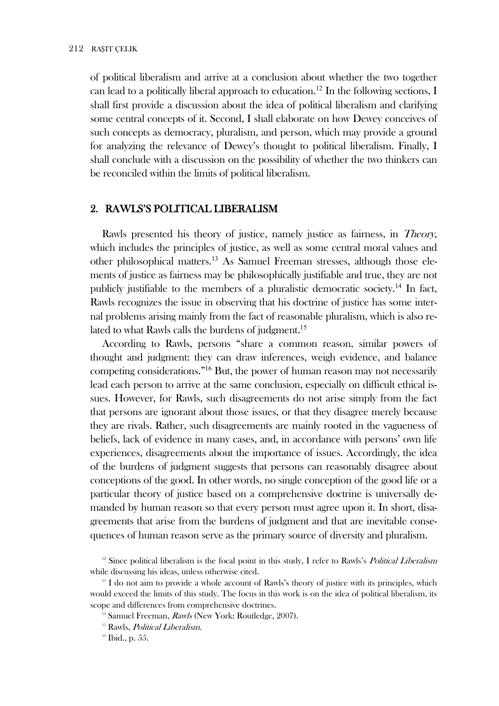of political liberalism and arrive at a conclusion about whether the two together can lead to a politically liberal approach to education.<sup>12</sup> In the following sections, I shall first provide a discussion about the idea of political liberalism and clarifying some central concepts of it. Second, I shall elaborate on how Dewey conceives of such concepts as democracy, pluralism, and person, which may provide a ground for analyzing the relevance of Dewey's thought to political liberalism. Finally, I shall conclude with a discussion on the possibility of whether the two thinkers can be reconciled within the limits of political liberalism.

## 2. RAWLS'S POLITICAL LIBERALISM

Rawls presented his theory of justice, namely justice as fairness, in *Theory*, which includes the principles of justice, as well as some central moral values and other philosophical matters.<sup>13</sup> As Samuel Freeman stresses, although those elements of justice as fairness may be philosophically justifiable and true, they are not publicly justifiable to the members of a pluralistic democratic society.<sup>14</sup> In fact, Rawls recognizes the issue in observing that his doctrine of justice has some internal problems arising mainly from the fact of reasonable pluralism, which is also related to what Rawls calls the burdens of judgment.<sup>15</sup>

According to Rawls, persons "share a common reason, similar powers of thought and judgment: they can draw inferences, weigh evidence, and balance competing considerations."<sup>16</sup> But, the power of human reason may not necessarily lead each person to arrive at the same conclusion, especially on difficult ethical issues. However, for Rawls, such disagreements do not arise simply from the fact that persons are ignorant about those issues, or that they disagree merely because they are rivals. Rather, such disagreements are mainly rooted in the vagueness of beliefs, lack of evidence in many cases, and, in accordance with persons' own life experiences, disagreements about the importance of issues. Accordingly, the idea of the burdens of judgment suggests that persons can reasonably disagree about conceptions of the good. In other words, no single conception of the good life or a particular theory of justice based on a comprehensive doctrine is universally demanded by human reason so that every person must agree upon it. In short, disagreements that arise from the burdens of judgment and that are inevitable consequences of human reason serve as the primary source of diversity and pluralism.

<sup>&</sup>lt;sup>12</sup> Since political liberalism is the focal point in this study, I refer to Rawls's *Political Liberalism* while discussing his ideas, unless otherwise cited.

<sup>&</sup>lt;sup>13</sup> I do not aim to provide a whole account of Rawls's theory of justice with its principles, which would exceed the limits of this study. The focus in this work is on the idea of political liberalism, its scope and differences from comprehensive doctrines.

<sup>&</sup>lt;sup>14</sup> Samuel Freeman, *Rawls* (New York: Routledge, 2007).

<sup>&</sup>lt;sup>15</sup> Rawls, *Political Liberalism*.

 $16$  Ibid., p. 55.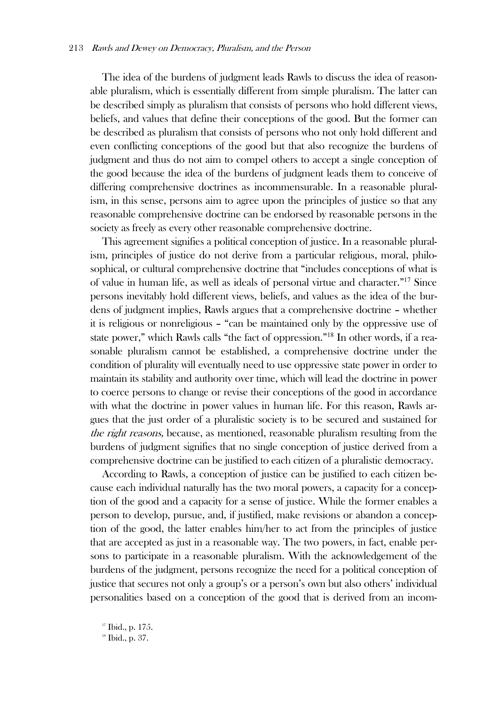The idea of the burdens of judgment leads Rawls to discuss the idea of reasonable pluralism, which is essentially different from simple pluralism. The latter can be described simply as pluralism that consists of persons who hold different views, beliefs, and values that define their conceptions of the good. But the former can be described as pluralism that consists of persons who not only hold different and even conflicting conceptions of the good but that also recognize the burdens of judgment and thus do not aim to compel others to accept a single conception of the good because the idea of the burdens of judgment leads them to conceive of differing comprehensive doctrines as incommensurable. In a reasonable pluralism, in this sense, persons aim to agree upon the principles of justice so that any reasonable comprehensive doctrine can be endorsed by reasonable persons in the society as freely as every other reasonable comprehensive doctrine.

This agreement signifies a political conception of justice. In a reasonable pluralism, principles of justice do not derive from a particular religious, moral, philosophical, or cultural comprehensive doctrine that "includes conceptions of what is of value in human life, as well as ideals of personal virtue and character."<sup>17</sup> Since persons inevitably hold different views, beliefs, and values as the idea of the burdens of judgment implies, Rawls argues that a comprehensive doctrine – whether it is religious or nonreligious – "can be maintained only by the oppressive use of state power," which Rawls calls "the fact of oppression."18 In other words, if a reasonable pluralism cannot be established, a comprehensive doctrine under the condition of plurality will eventually need to use oppressive state power in order to maintain its stability and authority over time, which will lead the doctrine in power to coerce persons to change or revise their conceptions of the good in accordance with what the doctrine in power values in human life. For this reason, Rawls argues that the just order of a pluralistic society is to be secured and sustained for the right reasons, because, as mentioned, reasonable pluralism resulting from the burdens of judgment signifies that no single conception of justice derived from a comprehensive doctrine can be justified to each citizen of a pluralistic democracy.

According to Rawls, a conception of justice can be justified to each citizen because each individual naturally has the two moral powers, a capacity for a conception of the good and a capacity for a sense of justice. While the former enables a person to develop, pursue, and, if justified, make revisions or abandon a conception of the good, the latter enables him/her to act from the principles of justice that are accepted as just in a reasonable way. The two powers, in fact, enable persons to participate in a reasonable pluralism. With the acknowledgement of the burdens of the judgment, persons recognize the need for a political conception of justice that secures not only a group's or a person's own but also others' individual personalities based on a conception of the good that is derived from an incom-

<sup>17</sup> Ibid., p. 175.

<sup>18</sup> Ibid., p. 37.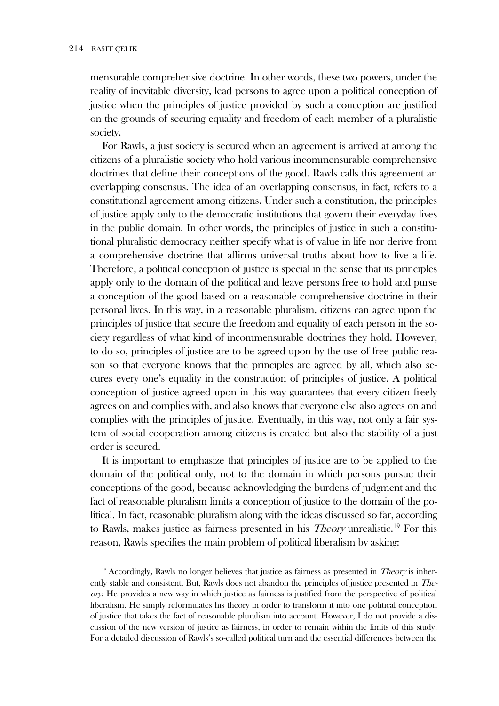mensurable comprehensive doctrine. In other words, these two powers, under the reality of inevitable diversity, lead persons to agree upon a political conception of justice when the principles of justice provided by such a conception are justified on the grounds of securing equality and freedom of each member of a pluralistic society.

For Rawls, a just society is secured when an agreement is arrived at among the citizens of a pluralistic society who hold various incommensurable comprehensive doctrines that define their conceptions of the good. Rawls calls this agreement an overlapping consensus. The idea of an overlapping consensus, in fact, refers to a constitutional agreement among citizens. Under such a constitution, the principles of justice apply only to the democratic institutions that govern their everyday lives in the public domain. In other words, the principles of justice in such a constitutional pluralistic democracy neither specify what is of value in life nor derive from a comprehensive doctrine that affirms universal truths about how to live a life. Therefore, a political conception of justice is special in the sense that its principles apply only to the domain of the political and leave persons free to hold and purse a conception of the good based on a reasonable comprehensive doctrine in their personal lives. In this way, in a reasonable pluralism, citizens can agree upon the principles of justice that secure the freedom and equality of each person in the society regardless of what kind of incommensurable doctrines they hold. However, to do so, principles of justice are to be agreed upon by the use of free public reason so that everyone knows that the principles are agreed by all, which also secures every one's equality in the construction of principles of justice. A political conception of justice agreed upon in this way guarantees that every citizen freely agrees on and complies with, and also knows that everyone else also agrees on and complies with the principles of justice. Eventually, in this way, not only a fair system of social cooperation among citizens is created but also the stability of a just order is secured.

It is important to emphasize that principles of justice are to be applied to the domain of the political only, not to the domain in which persons pursue their conceptions of the good, because acknowledging the burdens of judgment and the fact of reasonable pluralism limits a conception of justice to the domain of the political. In fact, reasonable pluralism along with the ideas discussed so far, according to Rawls, makes justice as fairness presented in his *Theory* unrealistic.<sup>19</sup> For this reason, Rawls specifies the main problem of political liberalism by asking:

<sup>19</sup> Accordingly, Rawls no longer believes that justice as fairness as presented in *Theory* is inherently stable and consistent. But, Rawls does not abandon the principles of justice presented in *The*ory. He provides a new way in which justice as fairness is justified from the perspective of political liberalism. He simply reformulates his theory in order to transform it into one political conception of justice that takes the fact of reasonable pluralism into account. However, I do not provide a discussion of the new version of justice as fairness, in order to remain within the limits of this study. For a detailed discussion of Rawls's so-called political turn and the essential differences between the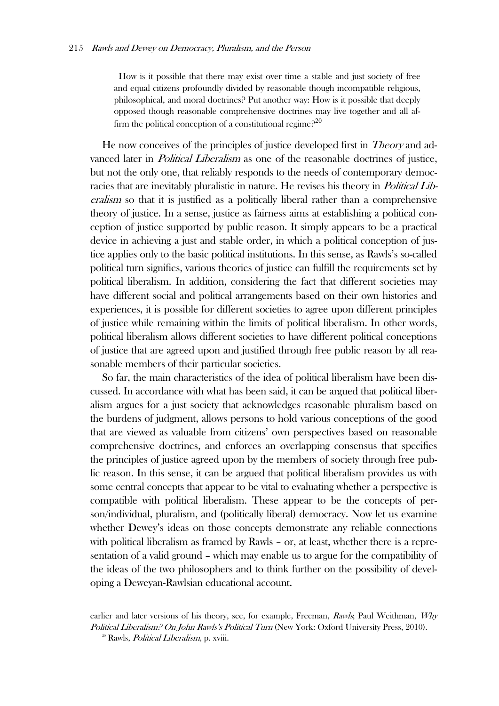How is it possible that there may exist over time a stable and just society of free and equal citizens profoundly divided by reasonable though incompatible religious, philosophical, and moral doctrines? Put another way: How is it possible that deeply opposed though reasonable comprehensive doctrines may live together and all affirm the political conception of a constitutional regime?<sup>20</sup>

He now conceives of the principles of justice developed first in Theory and advanced later in *Political Liberalism* as one of the reasonable doctrines of justice, but not the only one, that reliably responds to the needs of contemporary democracies that are inevitably pluralistic in nature. He revises his theory in *Political Lib*eralism so that it is justified as a politically liberal rather than a comprehensive theory of justice. In a sense, justice as fairness aims at establishing a political conception of justice supported by public reason. It simply appears to be a practical device in achieving a just and stable order, in which a political conception of justice applies only to the basic political institutions. In this sense, as Rawls's so-called political turn signifies, various theories of justice can fulfill the requirements set by political liberalism. In addition, considering the fact that different societies may have different social and political arrangements based on their own histories and experiences, it is possible for different societies to agree upon different principles of justice while remaining within the limits of political liberalism. In other words, political liberalism allows different societies to have different political conceptions of justice that are agreed upon and justified through free public reason by all reasonable members of their particular societies.

So far, the main characteristics of the idea of political liberalism have been discussed. In accordance with what has been said, it can be argued that political liberalism argues for a just society that acknowledges reasonable pluralism based on the burdens of judgment, allows persons to hold various conceptions of the good that are viewed as valuable from citizens' own perspectives based on reasonable comprehensive doctrines, and enforces an overlapping consensus that specifies the principles of justice agreed upon by the members of society through free public reason. In this sense, it can be argued that political liberalism provides us with some central concepts that appear to be vital to evaluating whether a perspective is compatible with political liberalism. These appear to be the concepts of person/individual, pluralism, and (politically liberal) democracy. Now let us examine whether Dewey's ideas on those concepts demonstrate any reliable connections with political liberalism as framed by Rawls – or, at least, whether there is a representation of a valid ground – which may enable us to argue for the compatibility of the ideas of the two philosophers and to think further on the possibility of developing a Deweyan-Rawlsian educational account.

earlier and later versions of his theory, see, for example, Freeman, Rawls; Paul Weithman, Why Political Liberalism? On John Rawls's Political Turn (New York: Oxford University Press, 2010).<br><sup>20</sup> Rawls. Political Liberalism, p. xviii.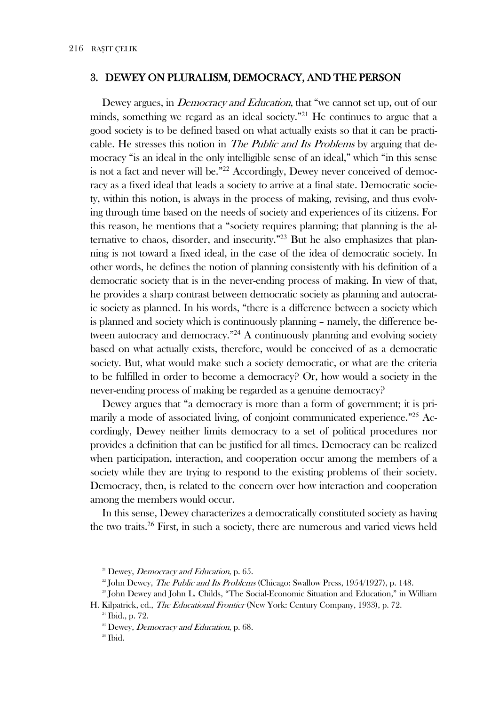#### 3. DEWEY ON PLURALISM, DEMOCRACY, AND THE PERSON

Dewey argues, in *Democracy and Education*, that "we cannot set up, out of our minds, something we regard as an ideal society."<sup>21</sup> He continues to argue that a good society is to be defined based on what actually exists so that it can be practicable. He stresses this notion in *The Public and Its Problems* by arguing that democracy "is an ideal in the only intelligible sense of an ideal," which "in this sense is not a fact and never will be."<sup>22</sup> Accordingly, Dewey never conceived of democracy as a fixed ideal that leads a society to arrive at a final state. Democratic society, within this notion, is always in the process of making, revising, and thus evolving through time based on the needs of society and experiences of its citizens. For this reason, he mentions that a "society requires planning; that planning is the alternative to chaos, disorder, and insecurity."<sup>23</sup> But he also emphasizes that planning is not toward a fixed ideal, in the case of the idea of democratic society. In other words, he defines the notion of planning consistently with his definition of a democratic society that is in the never-ending process of making. In view of that, he provides a sharp contrast between democratic society as planning and autocratic society as planned. In his words, "there is a difference between a society which is planned and society which is continuously planning - namely, the difference between autocracy and democracy."<sup>24</sup> A continuously planning and evolving society based on what actually exists, therefore, would be conceived of as a democratic society. But, what would make such a society democratic, or what are the criteria to be fulfilled in order to become a democracy? Or, how would a society in the never-ending process of making be regarded as a genuine democracy?

Dewey argues that "a democracy is more than a form of government; it is primarily a mode of associated living, of conjoint communicated experience."<sup>25</sup> Accordingly, Dewey neither limits democracy to a set of political procedures nor provides a definition that can be justified for all times. Democracy can be realized when participation, interaction, and cooperation occur among the members of a society while they are trying to respond to the existing problems of their society. Democracy, then, is related to the concern over how interaction and cooperation among the members would occur.

In this sense, Dewey characterizes a democratically constituted society as having the two traits.<sup>26</sup> First, in such a society, there are numerous and varied views held

<sup>&</sup>lt;sup>21</sup> Dewey, *Democracy and Education*, p. 65.

<sup>&</sup>lt;sup>22</sup> John Dewey, *The Public and Its Problems* (Chicago: Swallow Press, 1954/1927), p. 148.

<sup>&</sup>lt;sup>23</sup> John Dewey and John L. Childs, "The Social-Economic Situation and Education," in William H. Kilpatrick, ed., *The Educational Frontier* (New York: Century Company, 1933), p. 72.

<sup>&</sup>lt;sup>24</sup> Ibid., p. 72.

<sup>&</sup>lt;sup>25</sup> Dewey, *Democracy and Education*, p. 68.

 $26$  Ibid.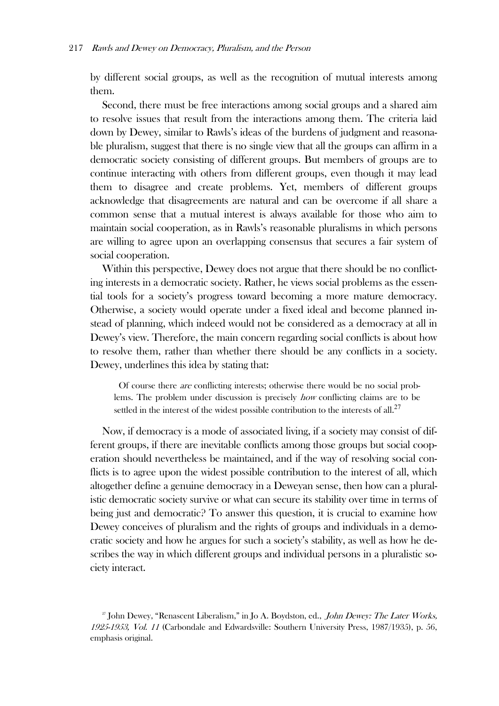by different social groups, as well as the recognition of mutual interests among them.

Second, there must be free interactions among social groups and a shared aim to resolve issues that result from the interactions among them. The criteria laid down by Dewey, similar to Rawls's ideas of the burdens of judgment and reasonable pluralism, suggest that there is no single view that all the groups can affirm in a democratic society consisting of different groups. But members of groups are to continue interacting with others from different groups, even though it may lead them to disagree and create problems. Yet, members of different groups acknowledge that disagreements are natural and can be overcome if all share a common sense that a mutual interest is always available for those who aim to maintain social cooperation, as in Rawls's reasonable pluralisms in which persons are willing to agree upon an overlapping consensus that secures a fair system of social cooperation.

Within this perspective, Dewey does not argue that there should be no conflicting interests in a democratic society. Rather, he views social problems as the essential tools for a society's progress toward becoming a more mature democracy. Otherwise, a society would operate under a fixed ideal and become planned instead of planning, which indeed would not be considered as a democracy at all in Dewey's view. Therefore, the main concern regarding social conflicts is about how to resolve them, rather than whether there should be any conflicts in a society. Dewey, underlines this idea by stating that:

Of course there are conflicting interests; otherwise there would be no social problems. The problem under discussion is precisely how conflicting claims are to be settled in the interest of the widest possible contribution to the interests of all.<sup>27</sup>

Now, if democracy is a mode of associated living, if a society may consist of different groups, if there are inevitable conflicts among those groups but social cooperation should nevertheless be maintained, and if the way of resolving social conflicts is to agree upon the widest possible contribution to the interest of all, which altogether define a genuine democracy in a Deweyan sense, then how can a pluralistic democratic society survive or what can secure its stability over time in terms of being just and democratic? To answer this question, it is crucial to examine how Dewey conceives of pluralism and the rights of groups and individuals in a democratic society and how he argues for such a society's stability, as well as how he describes the way in which different groups and individual persons in a pluralistic society interact.

 $^{27}$  John Dewey, "Renascent Liberalism," in Jo A. Boydston, ed., *John Dewey: The Later Works*, 1925-1953, Vol. 11 (Carbondale and Edwardsville: Southern University Press, 1987/1935), p. 56, emphasis original.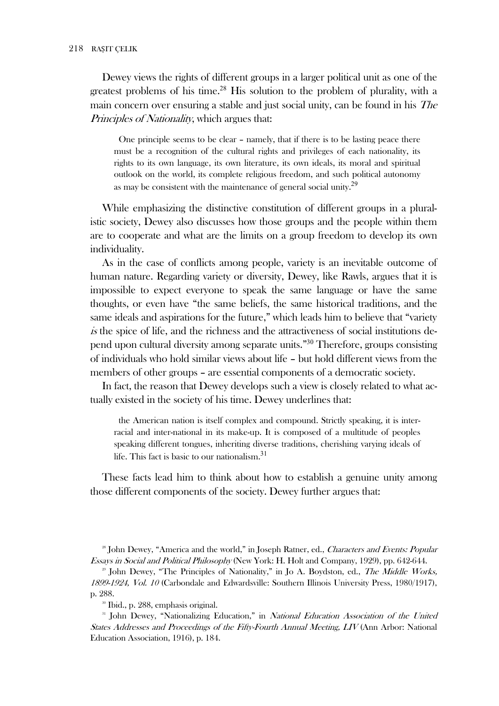Dewey views the rights of different groups in a larger political unit as one of the greatest problems of his time.<sup>28</sup> His solution to the problem of plurality, with a main concern over ensuring a stable and just social unity, can be found in his *The* Principles of Nationality, which argues that:

One principle seems to be clear – namely, that if there is to be lasting peace there must be a recognition of the cultural rights and privileges of each nationality, its rights to its own language, its own literature, its own ideals, its moral and spiritual outlook on the world, its complete religious freedom, and such political autonomy as may be consistent with the maintenance of general social unity.<sup>29</sup>

While emphasizing the distinctive constitution of different groups in a pluralistic society, Dewey also discusses how those groups and the people within them are to cooperate and what are the limits on a group freedom to develop its own individuality.

As in the case of conflicts among people, variety is an inevitable outcome of human nature. Regarding variety or diversity, Dewey, like Rawls, argues that it is impossible to expect everyone to speak the same language or have the same thoughts, or even have "the same beliefs, the same historical traditions, and the same ideals and aspirations for the future," which leads him to believe that "variety is the spice of life, and the richness and the attractiveness of social institutions depend upon cultural diversity among separate units."<sup>30</sup> Therefore, groups consisting of individuals who hold similar views about life - but hold different views from the members of other groups – are essential components of a democratic society.

In fact, the reason that Dewey develops such a view is closely related to what actually existed in the society of his time. Dewey underlines that:

the American nation is itself complex and compound. Strictly speaking, it is interracial and inter-national in its make-up. It is composed of a multitude of peoples speaking different tongues, inheriting diverse traditions, cherishing varying ideals of life. This fact is basic to our nationalism.<sup>31</sup>

These facts lead him to think about how to establish a genuine unity among those different components of the society. Dewey further argues that:

<sup>28</sup> John Dewey, "America and the world," in Joseph Ratner, ed., Characters and Events: Popular *Essays in Social and Political Philosophy* (New York: H. Holt and Company, 1929), pp. 642-644.

<sup>29</sup> John Dewey, "The Principles of Nationality," in Jo A. Boydston, ed., The Middle Works, 1899-1924, Vol. 10 (Carbondale and Edwardsville: Southern Illinois University Press, 1980/1917), p. 288.

<sup>30</sup> Ibid., p. 288, emphasis original.

<sup>31</sup> John Dewey, "Nationalizing Education," in *National Education Association of the United* States Addresses and Proceedings of the Fifty-Fourth Annual Meeting, LIV (Ann Arbor: National Education Association, 1916), p. 184.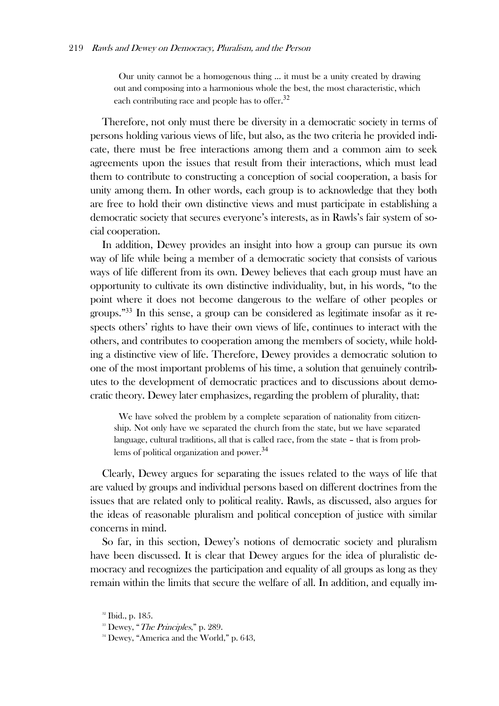Our unity cannot be a homogenous thing … it must be a unity created by drawing out and composing into a harmonious whole the best, the most characteristic, which each contributing race and people has to offer.<sup>32</sup>

Therefore, not only must there be diversity in a democratic society in terms of persons holding various views of life, but also, as the two criteria he provided indicate, there must be free interactions among them and a common aim to seek agreements upon the issues that result from their interactions, which must lead them to contribute to constructing a conception of social cooperation, a basis for unity among them. In other words, each group is to acknowledge that they both are free to hold their own distinctive views and must participate in establishing a democratic society that secures everyone's interests, as in Rawls's fair system of social cooperation.

In addition, Dewey provides an insight into how a group can pursue its own way of life while being a member of a democratic society that consists of various ways of life different from its own. Dewey believes that each group must have an opportunity to cultivate its own distinctive individuality, but, in his words, "to the point where it does not become dangerous to the welfare of other peoples or groups."33 In this sense, a group can be considered as legitimate insofar as it respects others' rights to have their own views of life, continues to interact with the others, and contributes to cooperation among the members of society, while holding a distinctive view of life. Therefore, Dewey provides a democratic solution to one of the most important problems of his time, a solution that genuinely contributes to the development of democratic practices and to discussions about democratic theory. Dewey later emphasizes, regarding the problem of plurality, that:

We have solved the problem by a complete separation of nationality from citizenship. Not only have we separated the church from the state, but we have separated language, cultural traditions, all that is called race, from the state – that is from problems of political organization and power.<sup>34</sup>

Clearly, Dewey argues for separating the issues related to the ways of life that are valued by groups and individual persons based on different doctrines from the issues that are related only to political reality. Rawls, as discussed, also argues for the ideas of reasonable pluralism and political conception of justice with similar concerns in mind.

So far, in this section, Dewey's notions of democratic society and pluralism have been discussed. It is clear that Dewey argues for the idea of pluralistic democracy and recognizes the participation and equality of all groups as long as they remain within the limits that secure the welfare of all. In addition, and equally im-

<sup>&</sup>lt;sup>32</sup> Ibid., p. 185.

<sup>&</sup>lt;sup>33</sup> Dewey, "*The Principles*," p. 289.<br><sup>34</sup> Dewey, "America and the World," p. 643.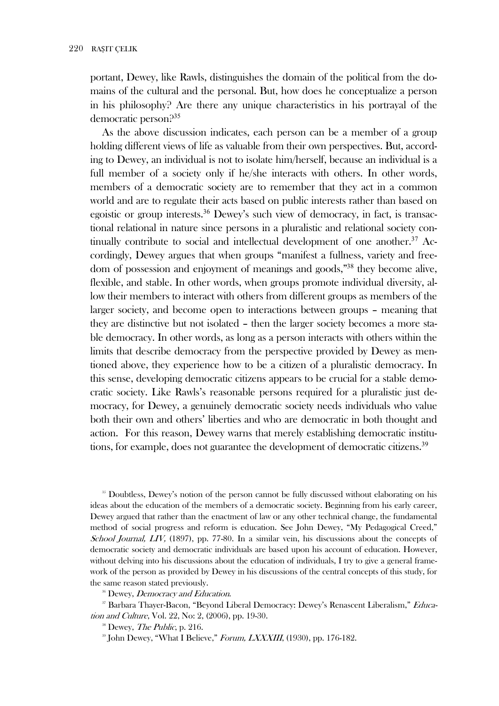portant, Dewey, like Rawls, distinguishes the domain of the political from the domains of the cultural and the personal. But, how does he conceptualize a person in his philosophy? Are there any unique characteristics in his portrayal of the democratic person $.235$ 

As the above discussion indicates, each person can be a member of a group holding different views of life as valuable from their own perspectives. But, according to Dewey, an individual is not to isolate him/herself, because an individual is a full member of a society only if he/she interacts with others. In other words, members of a democratic society are to remember that they act in a common world and are to regulate their acts based on public interests rather than based on egoistic or group interests.<sup>36</sup> Dewey's such view of democracy, in fact, is transactional relational in nature since persons in a pluralistic and relational society continually contribute to social and intellectual development of one another.<sup>37</sup> Accordingly, Dewey argues that when groups "manifest a fullness, variety and freedom of possession and enjoyment of meanings and goods,"<sup>38</sup> they become alive, flexible, and stable. In other words, when groups promote individual diversity, allow their members to interact with others from different groups as members of the larger society, and become open to interactions between groups – meaning that they are distinctive but not isolated - then the larger society becomes a more stable democracy. In other words, as long as a person interacts with others within the limits that describe democracy from the perspective provided by Dewey as mentioned above, they experience how to be a citizen of a pluralistic democracy. In this sense, developing democratic citizens appears to be crucial for a stable democratic society. Like Rawls's reasonable persons required for a pluralistic just democracy, for Dewey, a genuinely democratic society needs individuals who value both their own and others' liberties and who are democratic in both thought and action. For this reason, Dewey warns that merely establishing democratic institutions, for example, does not guarantee the development of democratic citizens.<sup>39</sup>

<sup>35</sup> Doubtless, Dewey's notion of the person cannot be fully discussed without elaborating on his ideas about the education of the members of a democratic society. Beginning from his early career, Dewey argued that rather than the enactment of law or any other technical change, the fundamental method of social progress and reform is education. See John Dewey, "My Pedagogical Creed," School Journal, LIV, (1897), pp. 77-80. In a similar vein, his discussions about the concepts of democratic society and democratic individuals are based upon his account of education. However, without delving into his discussions about the education of individuals, I try to give a general framework of the person as provided by Dewey in his discussions of the central concepts of this study, for the same reason stated previously.

<sup>36</sup> Dewey, *Democracy and Education*.

<sup>37</sup> Barbara Thayer-Bacon, "Beyond Liberal Democracy: Dewey's Renascent Liberalism," *Educa*tion and Culture, Vol. 22, No: 2, (2006), pp. 19-30.

<sup>38</sup> Dewey, *The Public*, p. 216.

<sup>39</sup> John Dewey, "What I Believe," Forum, LXXXIII, (1930), pp. 176-182.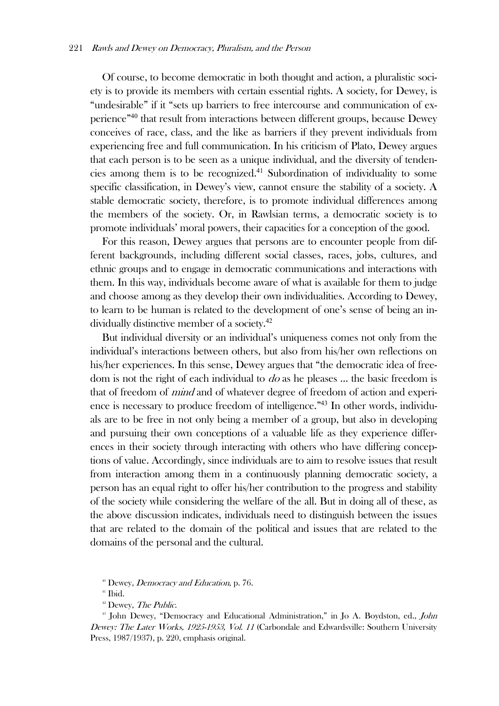Of course, to become democratic in both thought and action, a pluralistic society is to provide its members with certain essential rights. A society, for Dewey, is "undesirable" if it "sets up barriers to free intercourse and communication of experience"<sup>40</sup> that result from interactions between different groups, because Dewey conceives of race, class, and the like as barriers if they prevent individuals from experiencing free and full communication. In his criticism of Plato, Dewey argues that each person is to be seen as a unique individual, and the diversity of tendencies among them is to be recognized.<sup>41</sup> Subordination of individuality to some specific classification, in Dewey's view, cannot ensure the stability of a society. A stable democratic society, therefore, is to promote individual differences among the members of the society. Or, in Rawlsian terms, a democratic society is to promote individuals' moral powers, their capacities for a conception of the good.

For this reason, Dewey argues that persons are to encounter people from different backgrounds, including different social classes, races, jobs, cultures, and ethnic groups and to engage in democratic communications and interactions with them. In this way, individuals become aware of what is available for them to judge and choose among as they develop their own individualities. According to Dewey, to learn to be human is related to the development of one's sense of being an individually distinctive member of a society.<sup>42</sup>

But individual diversity or an individual's uniqueness comes not only from the individual's interactions between others, but also from his/her own reflections on his/her experiences. In this sense, Dewey argues that "the democratic idea of freedom is not the right of each individual to  $d\sigma$  as he pleases ... the basic freedom is that of freedom of mind and of whatever degree of freedom of action and experience is necessary to produce freedom of intelligence."43 In other words, individuals are to be free in not only being a member of a group, but also in developing and pursuing their own conceptions of a valuable life as they experience differences in their society through interacting with others who have differing conceptions of value. Accordingly, since individuals are to aim to resolve issues that result from interaction among them in a continuously planning democratic society, a person has an equal right to offer his/her contribution to the progress and stability of the society while considering the welfare of the all. But in doing all of these, as the above discussion indicates, individuals need to distinguish between the issues that are related to the domain of the political and issues that are related to the domains of the personal and the cultural.

<sup>&</sup>lt;sup>40</sup> Dewey, *Democracy and Education*, p. 76.  $41$  Ibid.

<sup>&</sup>lt;sup>42</sup> Dewey, *The Public*.<br><sup>43</sup> John Dewey, "Democracy and Educational Administration," in Jo A. Boydston, ed., *John* Dewey: The Later Works, 1925-1953, Vol. 11 (Carbondale and Edwardsville: Southern University Press, 1987/1937), p. 220, emphasis original.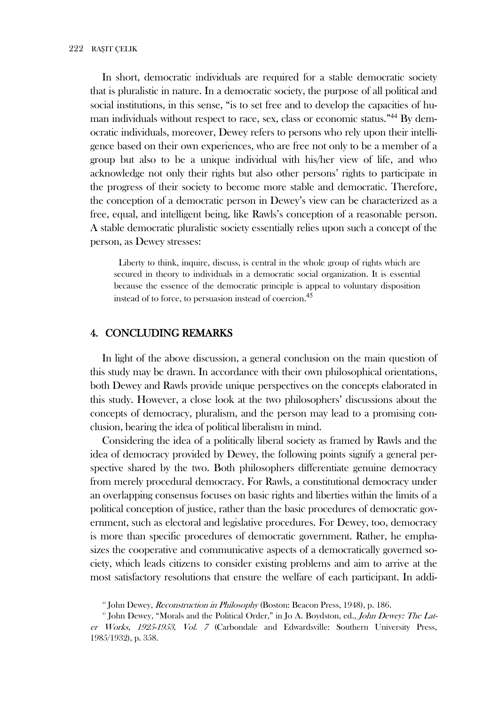In short, democratic individuals are required for a stable democratic society that is pluralistic in nature. In a democratic society, the purpose of all political and social institutions, in this sense, "is to set free and to develop the capacities of human individuals without respect to race, sex, class or economic status."<sup>44</sup> By democratic individuals, moreover, Dewey refers to persons who rely upon their intelligence based on their own experiences, who are free not only to be a member of a group but also to be a unique individual with his/her view of life, and who acknowledge not only their rights but also other persons' rights to participate in the progress of their society to become more stable and democratic. Therefore, the conception of a democratic person in Dewey's view can be characterized as a free, equal, and intelligent being, like Rawls's conception of a reasonable person. A stable democratic pluralistic society essentially relies upon such a concept of the person, as Dewey stresses:

Liberty to think, inquire, discuss, is central in the whole group of rights which are secured in theory to individuals in a democratic social organization. It is essential because the essence of the democratic principle is appeal to voluntary disposition instead of to force, to persuasion instead of coercion.<sup>45</sup>

#### 4. CONCLUDING REMARKS

In light of the above discussion, a general conclusion on the main question of this study may be drawn. In accordance with their own philosophical orientations, both Dewey and Rawls provide unique perspectives on the concepts elaborated in this study. However, a close look at the two philosophers' discussions about the concepts of democracy, pluralism, and the person may lead to a promising conclusion, bearing the idea of political liberalism in mind.

Considering the idea of a politically liberal society as framed by Rawls and the idea of democracy provided by Dewey, the following points signify a general perspective shared by the two. Both philosophers differentiate genuine democracy from merely procedural democracy. For Rawls, a constitutional democracy under an overlapping consensus focuses on basic rights and liberties within the limits of a political conception of justice, rather than the basic procedures of democratic government, such as electoral and legislative procedures. For Dewey, too, democracy is more than specific procedures of democratic government. Rather, he emphasizes the cooperative and communicative aspects of a democratically governed society, which leads citizens to consider existing problems and aim to arrive at the most satisfactory resolutions that ensure the welfare of each participant. In addi-

<sup>&</sup>lt;sup>44</sup> John Dewey, *Reconstruction in Philosophy* (Boston: Beacon Press, 1948), p. 186.

<sup>&</sup>lt;sup>45</sup> John Dewey, "Morals and the Political Order," in Jo A. Boydston, ed., John Dewey: The Later Works, 1925-1953, Vol. 7 (Carbondale and Edwardsville: Southern University Press, 1985/1932), p. 358.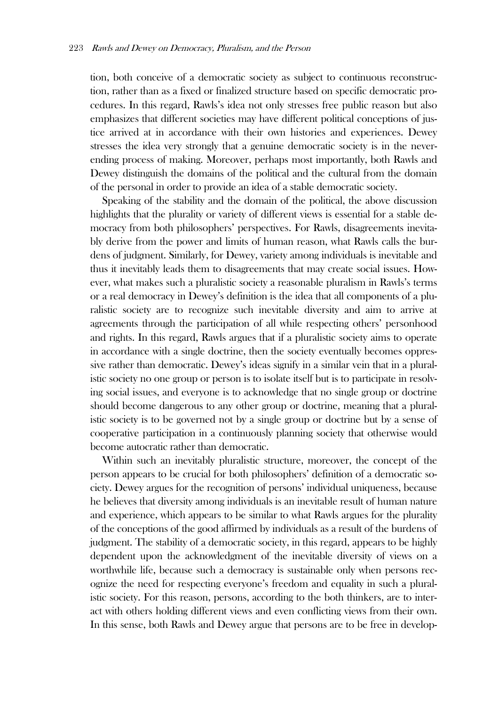tion, both conceive of a democratic society as subject to continuous reconstruction, rather than as a fixed or finalized structure based on specific democratic procedures. In this regard, Rawls's idea not only stresses free public reason but also emphasizes that different societies may have different political conceptions of justice arrived at in accordance with their own histories and experiences. Dewey stresses the idea very strongly that a genuine democratic society is in the neverending process of making. Moreover, perhaps most importantly, both Rawls and Dewey distinguish the domains of the political and the cultural from the domain of the personal in order to provide an idea of a stable democratic society.

Speaking of the stability and the domain of the political, the above discussion highlights that the plurality or variety of different views is essential for a stable democracy from both philosophers' perspectives. For Rawls, disagreements inevitably derive from the power and limits of human reason, what Rawls calls the burdens of judgment. Similarly, for Dewey, variety among individuals is inevitable and thus it inevitably leads them to disagreements that may create social issues. However, what makes such a pluralistic society a reasonable pluralism in Rawls's terms or a real democracy in Dewey's definition is the idea that all components of a pluralistic society are to recognize such inevitable diversity and aim to arrive at agreements through the participation of all while respecting others' personhood and rights. In this regard, Rawls argues that if a pluralistic society aims to operate in accordance with a single doctrine, then the society eventually becomes oppressive rather than democratic. Dewey's ideas signify in a similar vein that in a pluralistic society no one group or person is to isolate itself but is to participate in resolving social issues, and everyone is to acknowledge that no single group or doctrine should become dangerous to any other group or doctrine, meaning that a pluralistic society is to be governed not by a single group or doctrine but by a sense of cooperative participation in a continuously planning society that otherwise would become autocratic rather than democratic.

Within such an inevitably pluralistic structure, moreover, the concept of the person appears to be crucial for both philosophers' definition of a democratic society. Dewey argues for the recognition of persons' individual uniqueness, because he believes that diversity among individuals is an inevitable result of human nature and experience, which appears to be similar to what Rawls argues for the plurality of the conceptions of the good affirmed by individuals as a result of the burdens of judgment. The stability of a democratic society, in this regard, appears to be highly dependent upon the acknowledgment of the inevitable diversity of views on a worthwhile life, because such a democracy is sustainable only when persons recognize the need for respecting everyone's freedom and equality in such a pluralistic society. For this reason, persons, according to the both thinkers, are to interact with others holding different views and even conflicting views from their own. In this sense, both Rawls and Dewey argue that persons are to be free in develop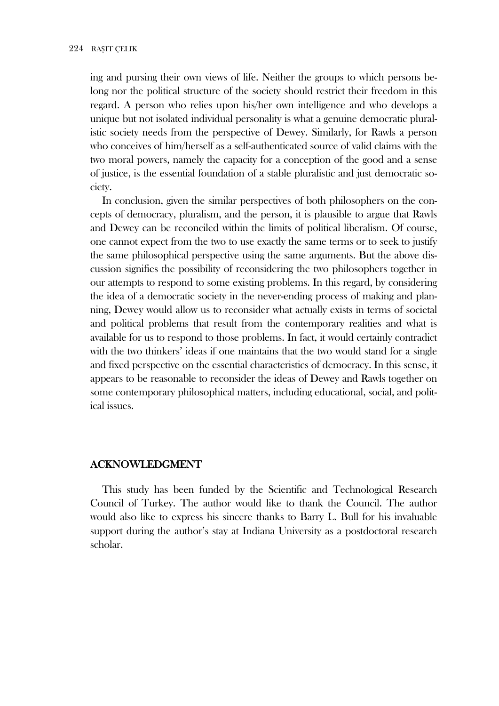ing and pursing their own views of life. Neither the groups to which persons belong nor the political structure of the society should restrict their freedom in this regard. A person who relies upon his/her own intelligence and who develops a unique but not isolated individual personality is what a genuine democratic pluralistic society needs from the perspective of Dewey. Similarly, for Rawls a person who conceives of him/herself as a self-authenticated source of valid claims with the two moral powers, namely the capacity for a conception of the good and a sense of justice, is the essential foundation of a stable pluralistic and just democratic society.

In conclusion, given the similar perspectives of both philosophers on the concepts of democracy, pluralism, and the person, it is plausible to argue that Rawls and Dewey can be reconciled within the limits of political liberalism. Of course, one cannot expect from the two to use exactly the same terms or to seek to justify the same philosophical perspective using the same arguments. But the above discussion signifies the possibility of reconsidering the two philosophers together in our attempts to respond to some existing problems. In this regard, by considering the idea of a democratic society in the never-ending process of making and planning, Dewey would allow us to reconsider what actually exists in terms of societal and political problems that result from the contemporary realities and what is available for us to respond to those problems. In fact, it would certainly contradict with the two thinkers' ideas if one maintains that the two would stand for a single and fixed perspective on the essential characteristics of democracy. In this sense, it appears to be reasonable to reconsider the ideas of Dewey and Rawls together on some contemporary philosophical matters, including educational, social, and political issues.

## **ACKNOWLEDGMENT**

This study has been funded by the Scientific and Technological Research Council of Turkey. The author would like to thank the Council. The author would also like to express his sincere thanks to Barry L. Bull for his invaluable support during the author's stay at Indiana University as a postdoctoral research scholar.